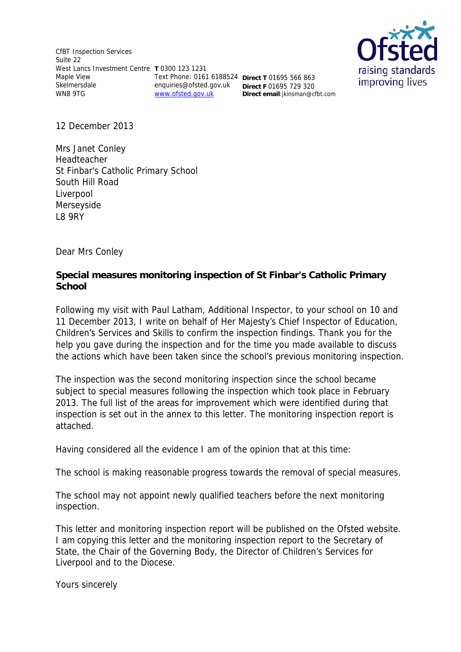CfBT Inspection Services Suite 22 West Lancs Investment Centre **T** 0300 123 1231 Maple View Skelmersdale WN8 9TG

Text Phone: 0161 6188524 **Direct T** 01695 566 863 enquiries@ofsted.gov.uk **Direct F** 01695 729 320 www.ofsted.gov.uk

**Direct email**:jkinsman@cfbt.com



12 December 2013

Mrs Janet Conley **Headteacher** St Finbar's Catholic Primary School South Hill Road **Liverpool** Merseyside L8 9RY

Dear Mrs Conley

#### **Special measures monitoring inspection of St Finbar's Catholic Primary School**

Following my visit with Paul Latham, Additional Inspector, to your school on 10 and 11 December 2013, I write on behalf of Her Majesty's Chief Inspector of Education, Children's Services and Skills to confirm the inspection findings. Thank you for the help you gave during the inspection and for the time you made available to discuss the actions which have been taken since the school's previous monitoring inspection.

The inspection was the second monitoring inspection since the school became subject to special measures following the inspection which took place in February 2013. The full list of the areas for improvement which were identified during that inspection is set out in the annex to this letter. The monitoring inspection report is attached.

Having considered all the evidence I am of the opinion that at this time:

The school is making reasonable progress towards the removal of special measures.

The school may not appoint newly qualified teachers before the next monitoring inspection.

This letter and monitoring inspection report will be published on the Ofsted website. I am copying this letter and the monitoring inspection report to the Secretary of State, the Chair of the Governing Body, the Director of Children's Services for Liverpool and to the Diocese.

Yours sincerely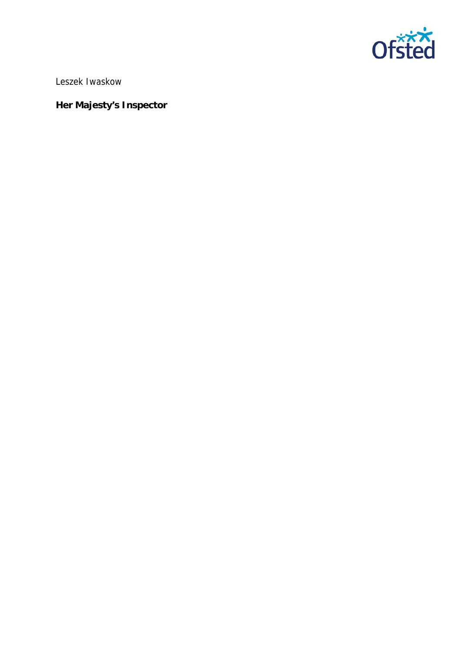

Leszek Iwaskow

# **Her Majesty's Inspector**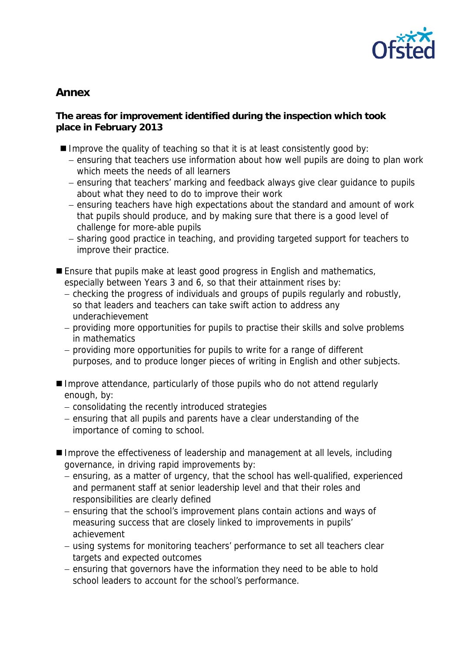

## **Annex**

#### **The areas for improvement identified during the inspection which took place in February 2013**

- Improve the quality of teaching so that it is at least consistently good by:
	- ensuring that teachers use information about how well pupils are doing to plan work which meets the needs of all learners
	- ensuring that teachers' marking and feedback always give clear guidance to pupils about what they need to do to improve their work
	- ensuring teachers have high expectations about the standard and amount of work that pupils should produce, and by making sure that there is a good level of challenge for more-able pupils
	- sharing good practice in teaching, and providing targeted support for teachers to improve their practice.
- **E** Ensure that pupils make at least good progress in English and mathematics, especially between Years 3 and 6, so that their attainment rises by:
	- checking the progress of individuals and groups of pupils regularly and robustly, so that leaders and teachers can take swift action to address any underachievement
	- providing more opportunities for pupils to practise their skills and solve problems in mathematics
	- providing more opportunities for pupils to write for a range of different purposes, and to produce longer pieces of writing in English and other subjects.
- Improve attendance, particularly of those pupils who do not attend regularly enough, by:
	- consolidating the recently introduced strategies
	- ensuring that all pupils and parents have a clear understanding of the importance of coming to school.
- Improve the effectiveness of leadership and management at all levels, including governance, in driving rapid improvements by:
	- ensuring, as a matter of urgency, that the school has well-qualified, experienced and permanent staff at senior leadership level and that their roles and responsibilities are clearly defined
	- ensuring that the school's improvement plans contain actions and ways of measuring success that are closely linked to improvements in pupils' achievement
	- using systems for monitoring teachers' performance to set all teachers clear targets and expected outcomes
	- ensuring that governors have the information they need to be able to hold school leaders to account for the school's performance.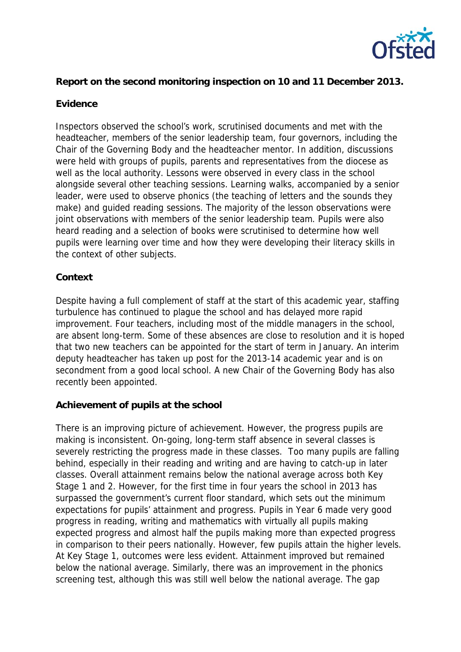

#### **Report on the second monitoring inspection on 10 and 11 December 2013.**

#### **Evidence**

Inspectors observed the school's work, scrutinised documents and met with the headteacher, members of the senior leadership team, four governors, including the Chair of the Governing Body and the headteacher mentor. In addition, discussions were held with groups of pupils, parents and representatives from the diocese as well as the local authority. Lessons were observed in every class in the school alongside several other teaching sessions. Learning walks, accompanied by a senior leader, were used to observe phonics (the teaching of letters and the sounds they make) and guided reading sessions. The majority of the lesson observations were joint observations with members of the senior leadership team. Pupils were also heard reading and a selection of books were scrutinised to determine how well pupils were learning over time and how they were developing their literacy skills in the context of other subjects.

#### **Context**

Despite having a full complement of staff at the start of this academic year, staffing turbulence has continued to plague the school and has delayed more rapid improvement. Four teachers, including most of the middle managers in the school, are absent long-term. Some of these absences are close to resolution and it is hoped that two new teachers can be appointed for the start of term in January. An interim deputy headteacher has taken up post for the 2013-14 academic year and is on secondment from a good local school. A new Chair of the Governing Body has also recently been appointed.

#### **Achievement of pupils at the school**

There is an improving picture of achievement. However, the progress pupils are making is inconsistent. On-going, long-term staff absence in several classes is severely restricting the progress made in these classes. Too many pupils are falling behind, especially in their reading and writing and are having to catch-up in later classes. Overall attainment remains below the national average across both Key Stage 1 and 2. However, for the first time in four years the school in 2013 has surpassed the government's current floor standard, which sets out the minimum expectations for pupils' attainment and progress. Pupils in Year 6 made very good progress in reading, writing and mathematics with virtually all pupils making expected progress and almost half the pupils making more than expected progress in comparison to their peers nationally. However, few pupils attain the higher levels. At Key Stage 1, outcomes were less evident. Attainment improved but remained below the national average. Similarly, there was an improvement in the phonics screening test, although this was still well below the national average. The gap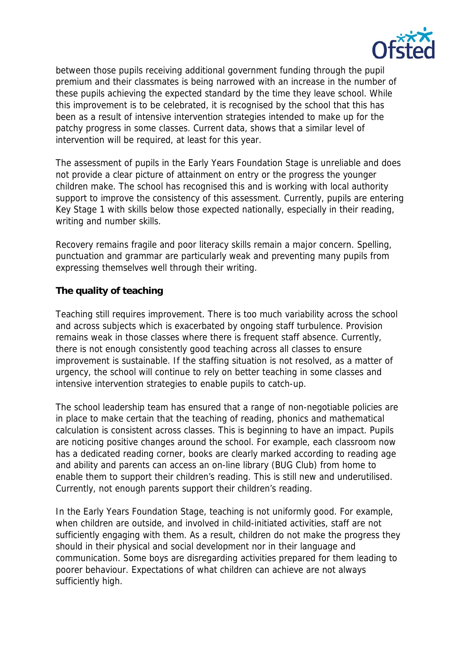

between those pupils receiving additional government funding through the pupil premium and their classmates is being narrowed with an increase in the number of these pupils achieving the expected standard by the time they leave school. While this improvement is to be celebrated, it is recognised by the school that this has been as a result of intensive intervention strategies intended to make up for the patchy progress in some classes. Current data, shows that a similar level of intervention will be required, at least for this year.

The assessment of pupils in the Early Years Foundation Stage is unreliable and does not provide a clear picture of attainment on entry or the progress the younger children make. The school has recognised this and is working with local authority support to improve the consistency of this assessment. Currently, pupils are entering Key Stage 1 with skills below those expected nationally, especially in their reading, writing and number skills.

Recovery remains fragile and poor literacy skills remain a major concern. Spelling, punctuation and grammar are particularly weak and preventing many pupils from expressing themselves well through their writing.

### **The quality of teaching**

Teaching still requires improvement. There is too much variability across the school and across subjects which is exacerbated by ongoing staff turbulence. Provision remains weak in those classes where there is frequent staff absence. Currently, there is not enough consistently good teaching across all classes to ensure improvement is sustainable. If the staffing situation is not resolved, as a matter of urgency, the school will continue to rely on better teaching in some classes and intensive intervention strategies to enable pupils to catch-up.

The school leadership team has ensured that a range of non-negotiable policies are in place to make certain that the teaching of reading, phonics and mathematical calculation is consistent across classes. This is beginning to have an impact. Pupils are noticing positive changes around the school. For example, each classroom now has a dedicated reading corner, books are clearly marked according to reading age and ability and parents can access an on-line library (BUG Club) from home to enable them to support their children's reading. This is still new and underutilised. Currently, not enough parents support their children's reading.

In the Early Years Foundation Stage, teaching is not uniformly good. For example, when children are outside, and involved in child-initiated activities, staff are not sufficiently engaging with them. As a result, children do not make the progress they should in their physical and social development nor in their language and communication. Some boys are disregarding activities prepared for them leading to poorer behaviour. Expectations of what children can achieve are not always sufficiently high.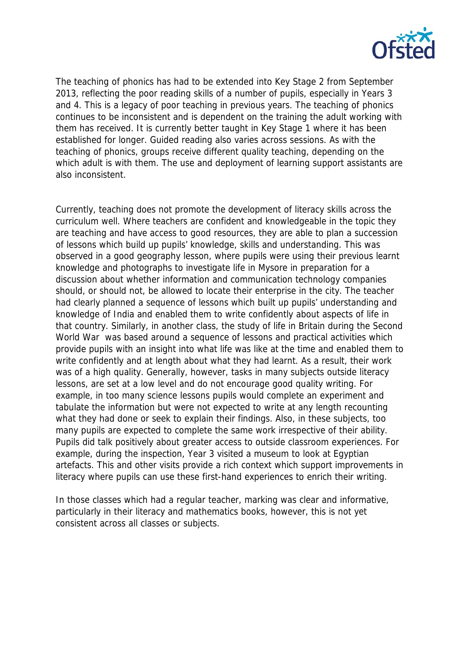

The teaching of phonics has had to be extended into Key Stage 2 from September 2013, reflecting the poor reading skills of a number of pupils, especially in Years 3 and 4. This is a legacy of poor teaching in previous years. The teaching of phonics continues to be inconsistent and is dependent on the training the adult working with them has received. It is currently better taught in Key Stage 1 where it has been established for longer. Guided reading also varies across sessions. As with the teaching of phonics, groups receive different quality teaching, depending on the which adult is with them. The use and deployment of learning support assistants are also inconsistent.

Currently, teaching does not promote the development of literacy skills across the curriculum well. Where teachers are confident and knowledgeable in the topic they are teaching and have access to good resources, they are able to plan a succession of lessons which build up pupils' knowledge, skills and understanding. This was observed in a good geography lesson, where pupils were using their previous learnt knowledge and photographs to investigate life in Mysore in preparation for a discussion about whether information and communication technology companies should, or should not, be allowed to locate their enterprise in the city. The teacher had clearly planned a sequence of lessons which built up pupils' understanding and knowledge of India and enabled them to write confidently about aspects of life in that country. Similarly, in another class, the study of life in Britain during the Second World War was based around a sequence of lessons and practical activities which provide pupils with an insight into what life was like at the time and enabled them to write confidently and at length about what they had learnt. As a result, their work was of a high quality. Generally, however, tasks in many subjects outside literacy lessons, are set at a low level and do not encourage good quality writing. For example, in too many science lessons pupils would complete an experiment and tabulate the information but were not expected to write at any length recounting what they had done or seek to explain their findings. Also, in these subjects, too many pupils are expected to complete the same work irrespective of their ability. Pupils did talk positively about greater access to outside classroom experiences. For example, during the inspection, Year 3 visited a museum to look at Egyptian artefacts. This and other visits provide a rich context which support improvements in literacy where pupils can use these first-hand experiences to enrich their writing.

In those classes which had a regular teacher, marking was clear and informative, particularly in their literacy and mathematics books, however, this is not yet consistent across all classes or subjects.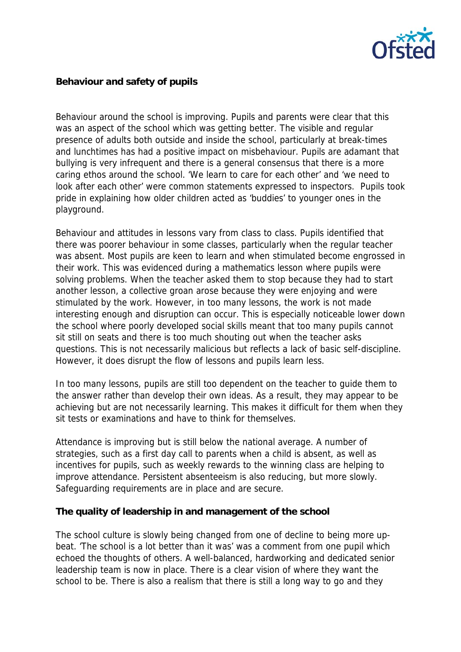

#### **Behaviour and safety of pupils**

Behaviour around the school is improving. Pupils and parents were clear that this was an aspect of the school which was getting better. The visible and regular presence of adults both outside and inside the school, particularly at break-times and lunchtimes has had a positive impact on misbehaviour. Pupils are adamant that bullying is very infrequent and there is a general consensus that there is a more caring ethos around the school. 'We learn to care for each other' and 'we need to look after each other' were common statements expressed to inspectors. Pupils took pride in explaining how older children acted as 'buddies' to younger ones in the playground.

Behaviour and attitudes in lessons vary from class to class. Pupils identified that there was poorer behaviour in some classes, particularly when the regular teacher was absent. Most pupils are keen to learn and when stimulated become engrossed in their work. This was evidenced during a mathematics lesson where pupils were solving problems. When the teacher asked them to stop because they had to start another lesson, a collective groan arose because they were enjoying and were stimulated by the work. However, in too many lessons, the work is not made interesting enough and disruption can occur. This is especially noticeable lower down the school where poorly developed social skills meant that too many pupils cannot sit still on seats and there is too much shouting out when the teacher asks questions. This is not necessarily malicious but reflects a lack of basic self-discipline. However, it does disrupt the flow of lessons and pupils learn less.

In too many lessons, pupils are still too dependent on the teacher to guide them to the answer rather than develop their own ideas. As a result, they may appear to be achieving but are not necessarily learning. This makes it difficult for them when they sit tests or examinations and have to think for themselves.

Attendance is improving but is still below the national average. A number of strategies, such as a first day call to parents when a child is absent, as well as incentives for pupils, such as weekly rewards to the winning class are helping to improve attendance. Persistent absenteeism is also reducing, but more slowly. Safeguarding requirements are in place and are secure.

#### **The quality of leadership in and management of the school**

The school culture is slowly being changed from one of decline to being more upbeat. 'The school is a lot better than it was' was a comment from one pupil which echoed the thoughts of others. A well-balanced, hardworking and dedicated senior leadership team is now in place. There is a clear vision of where they want the school to be. There is also a realism that there is still a long way to go and they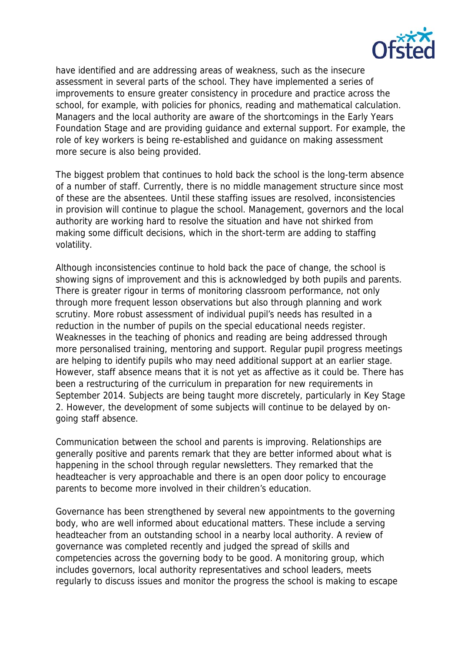

have identified and are addressing areas of weakness, such as the insecure assessment in several parts of the school. They have implemented a series of improvements to ensure greater consistency in procedure and practice across the school, for example, with policies for phonics, reading and mathematical calculation. Managers and the local authority are aware of the shortcomings in the Early Years Foundation Stage and are providing guidance and external support. For example, the role of key workers is being re-established and guidance on making assessment more secure is also being provided.

The biggest problem that continues to hold back the school is the long-term absence of a number of staff. Currently, there is no middle management structure since most of these are the absentees. Until these staffing issues are resolved, inconsistencies in provision will continue to plague the school. Management, governors and the local authority are working hard to resolve the situation and have not shirked from making some difficult decisions, which in the short-term are adding to staffing volatility.

Although inconsistencies continue to hold back the pace of change, the school is showing signs of improvement and this is acknowledged by both pupils and parents. There is greater rigour in terms of monitoring classroom performance, not only through more frequent lesson observations but also through planning and work scrutiny. More robust assessment of individual pupil's needs has resulted in a reduction in the number of pupils on the special educational needs register. Weaknesses in the teaching of phonics and reading are being addressed through more personalised training, mentoring and support. Regular pupil progress meetings are helping to identify pupils who may need additional support at an earlier stage. However, staff absence means that it is not yet as affective as it could be. There has been a restructuring of the curriculum in preparation for new requirements in September 2014. Subjects are being taught more discretely, particularly in Key Stage 2. However, the development of some subjects will continue to be delayed by ongoing staff absence.

Communication between the school and parents is improving. Relationships are generally positive and parents remark that they are better informed about what is happening in the school through regular newsletters. They remarked that the headteacher is very approachable and there is an open door policy to encourage parents to become more involved in their children's education.

Governance has been strengthened by several new appointments to the governing body, who are well informed about educational matters. These include a serving headteacher from an outstanding school in a nearby local authority. A review of governance was completed recently and judged the spread of skills and competencies across the governing body to be good. A monitoring group, which includes governors, local authority representatives and school leaders, meets regularly to discuss issues and monitor the progress the school is making to escape